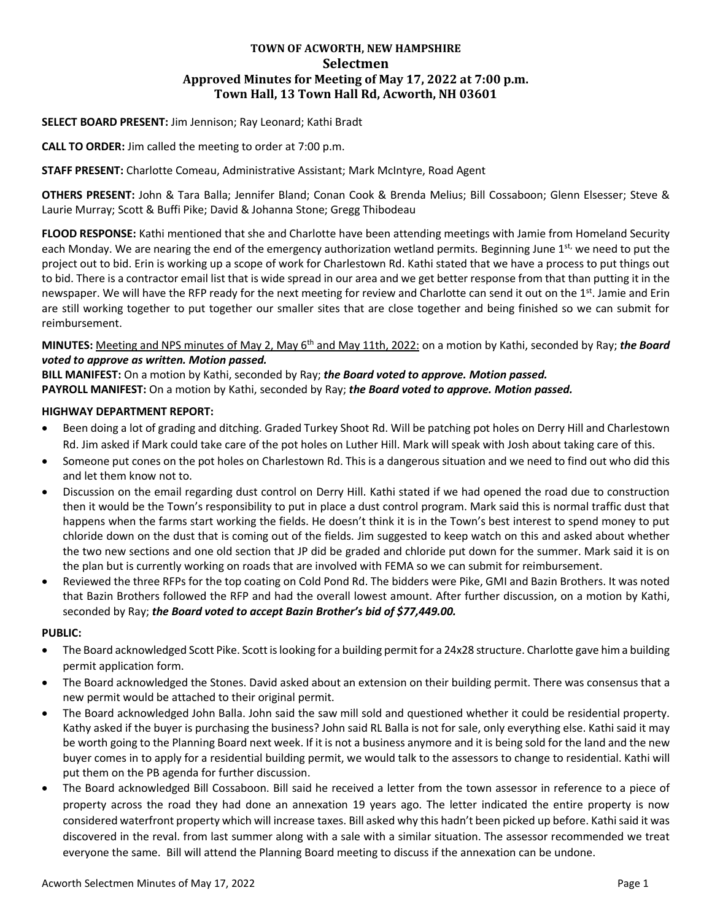# **TOWN OF ACWORTH, NEW HAMPSHIRE Selectmen Approved Minutes for Meeting of May 17, 2022 at 7:00 p.m. Town Hall, 13 Town Hall Rd, Acworth, NH 03601**

## **SELECT BOARD PRESENT:** Jim Jennison; Ray Leonard; Kathi Bradt

**CALL TO ORDER:** Jim called the meeting to order at 7:00 p.m.

**STAFF PRESENT:** Charlotte Comeau, Administrative Assistant; Mark McIntyre, Road Agent

**OTHERS PRESENT:** John & Tara Balla; Jennifer Bland; Conan Cook & Brenda Melius; Bill Cossaboon; Glenn Elsesser; Steve & Laurie Murray; Scott & Buffi Pike; David & Johanna Stone; Gregg Thibodeau

**FLOOD RESPONSE:** Kathi mentioned that she and Charlotte have been attending meetings with Jamie from Homeland Security each Monday. We are nearing the end of the emergency authorization wetland permits. Beginning June 1st, we need to put the project out to bid. Erin is working up a scope of work for Charlestown Rd. Kathi stated that we have a process to put things out to bid. There is a contractor email list that is wide spread in our area and we get better response from that than putting it in the newspaper. We will have the RFP ready for the next meeting for review and Charlotte can send it out on the 1<sup>st</sup>. Jamie and Erin are still working together to put together our smaller sites that are close together and being finished so we can submit for reimbursement.

**MINUTES:** Meeting and NPS minutes of May 2, May 6th and May 11th, 2022: on a motion by Kathi, seconded by Ray; *the Board voted to approve as written. Motion passed.*

**BILL MANIFEST:** On a motion by Kathi, seconded by Ray; *the Board voted to approve. Motion passed.* **PAYROLL MANIFEST:** On a motion by Kathi, seconded by Ray; *the Board voted to approve. Motion passed.*

## **HIGHWAY DEPARTMENT REPORT:**

- Been doing a lot of grading and ditching. Graded Turkey Shoot Rd. Will be patching pot holes on Derry Hill and Charlestown Rd. Jim asked if Mark could take care of the pot holes on Luther Hill. Mark will speak with Josh about taking care of this.
- Someone put cones on the pot holes on Charlestown Rd. This is a dangerous situation and we need to find out who did this and let them know not to.
- Discussion on the email regarding dust control on Derry Hill. Kathi stated if we had opened the road due to construction then it would be the Town's responsibility to put in place a dust control program. Mark said this is normal traffic dust that happens when the farms start working the fields. He doesn't think it is in the Town's best interest to spend money to put chloride down on the dust that is coming out of the fields. Jim suggested to keep watch on this and asked about whether the two new sections and one old section that JP did be graded and chloride put down for the summer. Mark said it is on the plan but is currently working on roads that are involved with FEMA so we can submit for reimbursement.
- Reviewed the three RFPs for the top coating on Cold Pond Rd. The bidders were Pike, GMI and Bazin Brothers. It was noted that Bazin Brothers followed the RFP and had the overall lowest amount. After further discussion, on a motion by Kathi, seconded by Ray; *the Board voted to accept Bazin Brother's bid of \$77,449.00.*

#### **PUBLIC:**

- The Board acknowledged Scott Pike. Scott is looking for a building permit for a 24x28 structure. Charlotte gave hima building permit application form.
- The Board acknowledged the Stones. David asked about an extension on their building permit. There was consensus that a new permit would be attached to their original permit.
- The Board acknowledged John Balla. John said the saw mill sold and questioned whether it could be residential property. Kathy asked if the buyer is purchasing the business? John said RL Balla is not for sale, only everything else. Kathi said it may be worth going to the Planning Board next week. If it is not a business anymore and it is being sold for the land and the new buyer comes in to apply for a residential building permit, we would talk to the assessors to change to residential. Kathi will put them on the PB agenda for further discussion.
- The Board acknowledged Bill Cossaboon. Bill said he received a letter from the town assessor in reference to a piece of property across the road they had done an annexation 19 years ago. The letter indicated the entire property is now considered waterfront property which will increase taxes. Bill asked why this hadn't been picked up before. Kathi said it was discovered in the reval. from last summer along with a sale with a similar situation. The assessor recommended we treat everyone the same. Bill will attend the Planning Board meeting to discuss if the annexation can be undone.